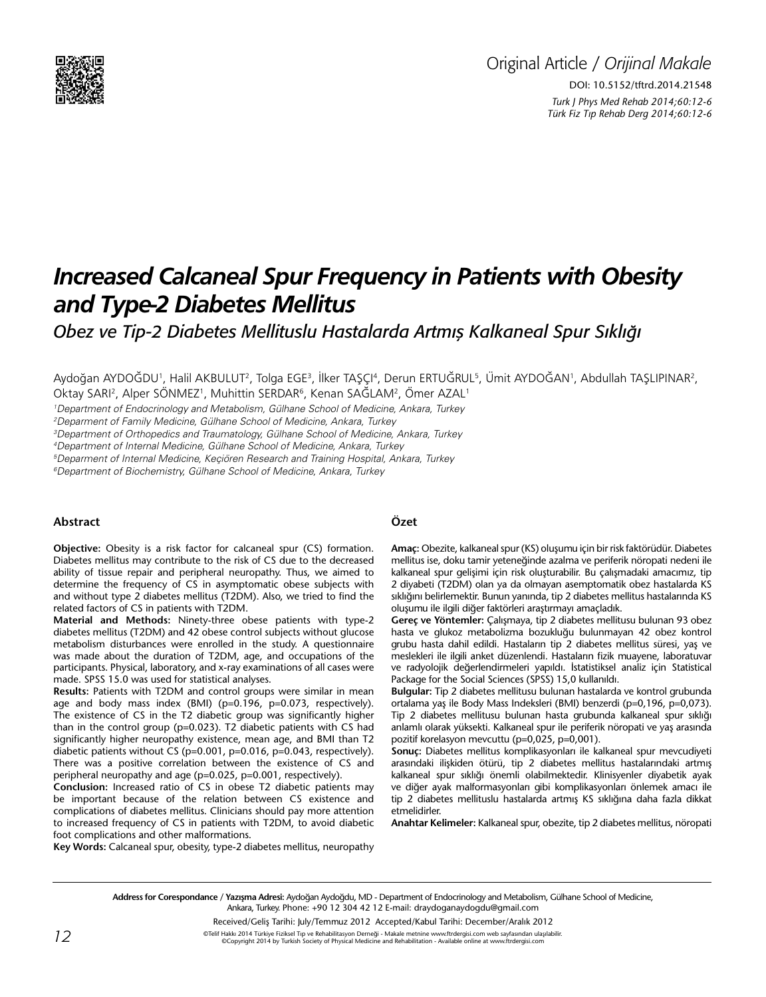

# *Increased Calcaneal Spur Frequency in Patients with Obesity and Type-2 Diabetes Mellitus*

*Obez ve Tip-2 Diabetes Mellituslu Hastalarda Artmış Kalkaneal Spur Sıklığı*

Aydoğan AYDOĞDU', Halil AKBULUT<sup>2</sup>, Tolga EGE<sup>3</sup>, İlker TAŞÇI<sup>4</sup>, Derun ERTUĞRUL<sup>5</sup>, Ümit AYDOĞAN', Abdullah TAŞLIPINAR<sup>2</sup>,

Oktay SARI<sup>2</sup>, Alper SÖNMEZ<sup>1</sup>, Muhittin SERDAR<sup>6</sup>, Kenan SAĞLAM<sup>2</sup>, Ömer AZAL<sup>1</sup>

1 Department of Endocrinology and Metabolism, Gülhane School of Medicine, Ankara, Turkey

2 Deparment of Family Medicine, Gülhane School of Medicine, Ankara, Turkey

3 Department of Orthopedics and Traumatology, Gülhane School of Medicine, Ankara, Turkey

4 Department of Internal Medicine, Gülhane School of Medicine, Ankara, Turkey

5 Deparment of Internal Medicine, Keçiören Research and Training Hospital, Ankara, Turkey

6 Department of Biochemistry, Gülhane School of Medicine, Ankara, Turkey

#### **Abstract**

**Objective:** Obesity is a risk factor for calcaneal spur (CS) formation. Diabetes mellitus may contribute to the risk of CS due to the decreased ability of tissue repair and peripheral neuropathy. Thus, we aimed to determine the frequency of CS in asymptomatic obese subjects with and without type 2 diabetes mellitus (T2DM). Also, we tried to find the related factors of CS in patients with T2DM.

**Material and Methods:** Ninety-three obese patients with type-2 diabetes mellitus (T2DM) and 42 obese control subjects without glucose metabolism disturbances were enrolled in the study. A questionnaire was made about the duration of T2DM, age, and occupations of the participants. Physical, laboratory, and x-ray examinations of all cases were made. SPSS 15.0 was used for statistical analyses.

**Results:** Patients with T2DM and control groups were similar in mean age and body mass index (BMI) (p=0.196, p=0.073, respectively). The existence of CS in the T2 diabetic group was significantly higher than in the control group (p=0.023). T2 diabetic patients with CS had significantly higher neuropathy existence, mean age, and BMI than T2 diabetic patients without CS (p=0.001, p=0.016, p=0.043, respectively). There was a positive correlation between the existence of CS and peripheral neuropathy and age (p=0.025, p=0.001, respectively).

**Conclusion:** Increased ratio of CS in obese T2 diabetic patients may be important because of the relation between CS existence and complications of diabetes mellitus. Clinicians should pay more attention to increased frequency of CS in patients with T2DM, to avoid diabetic foot complications and other malformations.

## **Özet**

**Amaç:** Obezite, kalkaneal spur (KS) oluşumu için bir risk faktörüdür. Diabetes mellitus ise, doku tamir yeteneğinde azalma ve periferik nöropati nedeni ile kalkaneal spur gelişimi için risk oluşturabilir. Bu çalışmadaki amacımız, tip 2 diyabeti (T2DM) olan ya da olmayan asemptomatik obez hastalarda KS sıklığını belirlemektir. Bunun yanında, tip 2 diabetes mellitus hastalarında KS oluşumu ile ilgili diğer faktörleri araştırmayı amaçladık.

**Gereç ve Yöntemler:** Çalışmaya, tip 2 diabetes mellitusu bulunan 93 obez hasta ve glukoz metabolizma bozukluğu bulunmayan 42 obez kontrol grubu hasta dahil edildi. Hastaların tip 2 diabetes mellitus süresi, yaş ve meslekleri ile ilgili anket düzenlendi. Hastaların fizik muayene, laboratuvar ve radyolojik değerlendirmeleri yapıldı. İstatistiksel analiz için Statistical Package for the Social Sciences (SPSS) 15,0 kullanıldı.

**Bulgular:** Tip 2 diabetes mellitusu bulunan hastalarda ve kontrol grubunda ortalama yaş ile Body Mass Indeksleri (BMI) benzerdi (p=0,196, p=0,073). Tip 2 diabetes mellitusu bulunan hasta grubunda kalkaneal spur sıklığı anlamlı olarak yüksekti. Kalkaneal spur ile periferik nöropati ve yaş arasında pozitif korelasyon mevcuttu (p=0,025, p=0,001).

**Sonuç:** Diabetes mellitus komplikasyonları ile kalkaneal spur mevcudiyeti arasındaki ilişkiden ötürü, tip 2 diabetes mellitus hastalarındaki artmış kalkaneal spur sıklığı önemli olabilmektedir. Klinisyenler diyabetik ayak ve diğer ayak malformasyonları gibi komplikasyonları önlemek amacı ile tip 2 diabetes mellituslu hastalarda artmış KS sıklığına daha fazla dikkat etmelidirler.

**Anahtar Kelimeler:** Kalkaneal spur, obezite, tip 2 diabetes mellitus, nöropati

**Key Words:** Calcaneal spur, obesity, type-2 diabetes mellitus, neuropathy

**Address for Corespondance / Yazışma Adresi:** Aydoğan Aydoğdu, MD - Department of Endocrinology and Metabolism, Gülhane School of Medicine, Ankara, Turkey. Phone: +90 12 304 42 12 E-mail: draydoganaydogdu@gmail.com

Received/Geliş Tarihi: July/Temmuz 2012 Accepted/Kabul Tarihi: December/Aralık 2012

 $12$ ETE Hakkı 2014 Türkiye Fiziksel Tıp ve Rehabilitasyon Derneği - Makale metnine www.ftrdergisi.com web sayfasından ulaşılabilir<br>
ECopyright 2014 by Turkish Society of Physical Medicine and Rehabilitation - Available o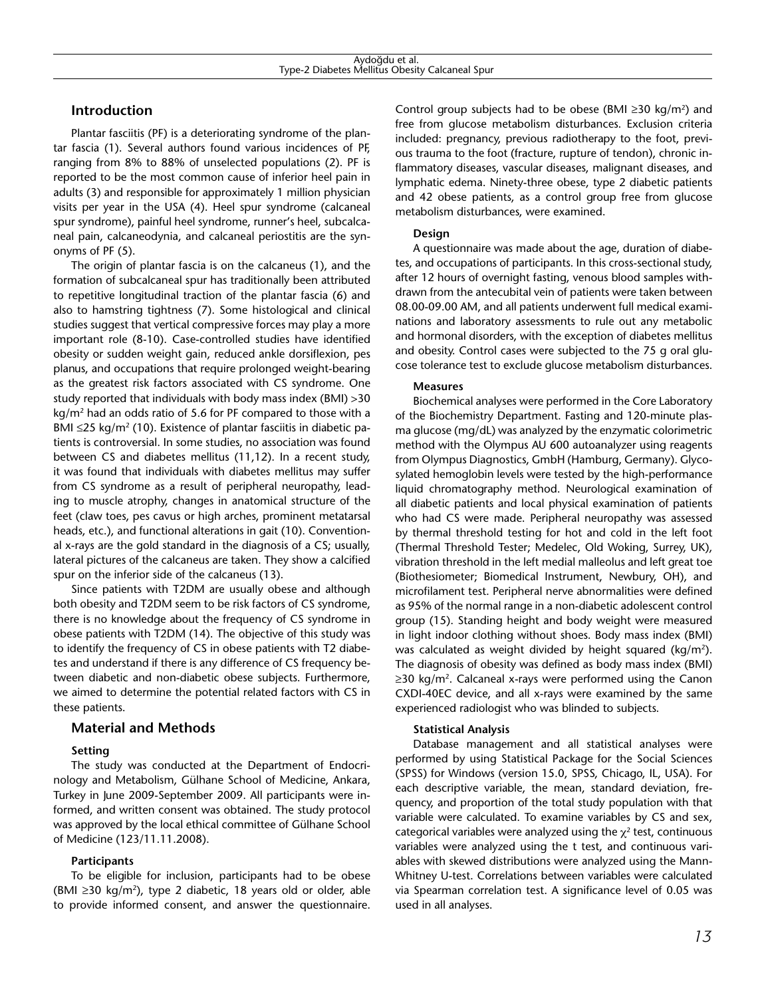## **Introduction**

Plantar fasciitis (PF) is a deteriorating syndrome of the plantar fascia (1). Several authors found various incidences of PF, ranging from 8% to 88% of unselected populations (2). PF is reported to be the most common cause of inferior heel pain in adults (3) and responsible for approximately 1 million physician visits per year in the USA (4). Heel spur syndrome (calcaneal spur syndrome), painful heel syndrome, runner's heel, subcalcaneal pain, calcaneodynia, and calcaneal periostitis are the synonyms of PF (5).

The origin of plantar fascia is on the calcaneus (1), and the formation of subcalcaneal spur has traditionally been attributed to repetitive longitudinal traction of the plantar fascia (6) and also to hamstring tightness (7). Some histological and clinical studies suggest that vertical compressive forces may play a more important role (8-10). Case-controlled studies have identified obesity or sudden weight gain, reduced ankle dorsiflexion, pes planus, and occupations that require prolonged weight-bearing as the greatest risk factors associated with CS syndrome. One study reported that individuals with body mass index (BMI) >30  $kg/m<sup>2</sup>$  had an odds ratio of 5.6 for PF compared to those with a BMI  $\leq$ 25 kg/m<sup>2</sup> (10). Existence of plantar fasciitis in diabetic patients is controversial. In some studies, no association was found between CS and diabetes mellitus (11,12). In a recent study, it was found that individuals with diabetes mellitus may suffer from CS syndrome as a result of peripheral neuropathy, leading to muscle atrophy, changes in anatomical structure of the feet (claw toes, pes cavus or high arches, prominent metatarsal heads, etc.), and functional alterations in gait (10). Conventional x-rays are the gold standard in the diagnosis of a CS; usually, lateral pictures of the calcaneus are taken. They show a calcified spur on the inferior side of the calcaneus (13).

Since patients with T2DM are usually obese and although both obesity and T2DM seem to be risk factors of CS syndrome, there is no knowledge about the frequency of CS syndrome in obese patients with T2DM (14). The objective of this study was to identify the frequency of CS in obese patients with T2 diabetes and understand if there is any difference of CS frequency between diabetic and non-diabetic obese subjects. Furthermore, we aimed to determine the potential related factors with CS in these patients.

## **Material and Methods**

## **Setting**

The study was conducted at the Department of Endocrinology and Metabolism, Gülhane School of Medicine, Ankara, Turkey in June 2009-September 2009. All participants were informed, and written consent was obtained. The study protocol was approved by the local ethical committee of Gülhane School of Medicine (123/11.11.2008).

## **Participants**

To be eligible for inclusion, participants had to be obese (BMI ≥30 kg/m2), type 2 diabetic, 18 years old or older, able to provide informed consent, and answer the questionnaire. Control group subjects had to be obese (BMI  $\geq$ 30 kg/m<sup>2</sup>) and free from glucose metabolism disturbances. Exclusion criteria included: pregnancy, previous radiotherapy to the foot, previous trauma to the foot (fracture, rupture of tendon), chronic inflammatory diseases, vascular diseases, malignant diseases, and lymphatic edema. Ninety-three obese, type 2 diabetic patients and 42 obese patients, as a control group free from glucose metabolism disturbances, were examined.

## **Design**

A questionnaire was made about the age, duration of diabetes, and occupations of participants. In this cross-sectional study, after 12 hours of overnight fasting, venous blood samples withdrawn from the antecubital vein of patients were taken between 08.00-09.00 AM, and all patients underwent full medical examinations and laboratory assessments to rule out any metabolic and hormonal disorders, with the exception of diabetes mellitus and obesity. Control cases were subjected to the 75 g oral glucose tolerance test to exclude glucose metabolism disturbances.

### **Measures**

Biochemical analyses were performed in the Core Laboratory of the Biochemistry Department. Fasting and 120-minute plasma glucose (mg/dL) was analyzed by the enzymatic colorimetric method with the Olympus AU 600 autoanalyzer using reagents from Olympus Diagnostics, GmbH (Hamburg, Germany). Glycosylated hemoglobin levels were tested by the high-performance liquid chromatography method. Neurological examination of all diabetic patients and local physical examination of patients who had CS were made. Peripheral neuropathy was assessed by thermal threshold testing for hot and cold in the left foot (Thermal Threshold Tester; Medelec, Old Woking, Surrey, UK), vibration threshold in the left medial malleolus and left great toe (Biothesiometer; Biomedical Instrument, Newbury, OH), and microfilament test. Peripheral nerve abnormalities were defined as 95% of the normal range in a non-diabetic adolescent control group (15). Standing height and body weight were measured in light indoor clothing without shoes. Body mass index (BMI) was calculated as weight divided by height squared (kg/m<sup>2</sup>). The diagnosis of obesity was defined as body mass index (BMI) ≥30 kg/m<sup>2</sup>. Calcaneal x-rays were performed using the Canon CXDI-40EC device, and all x-rays were examined by the same experienced radiologist who was blinded to subjects.

## **Statistical Analysis**

Database management and all statistical analyses were performed by using Statistical Package for the Social Sciences (SPSS) for Windows (version 15.0, SPSS, Chicago, IL, USA). For each descriptive variable, the mean, standard deviation, frequency, and proportion of the total study population with that variable were calculated. To examine variables by CS and sex, categorical variables were analyzed using the  $\chi^2$  test, continuous variables were analyzed using the t test, and continuous variables with skewed distributions were analyzed using the Mann-Whitney U-test. Correlations between variables were calculated via Spearman correlation test. A significance level of 0.05 was used in all analyses.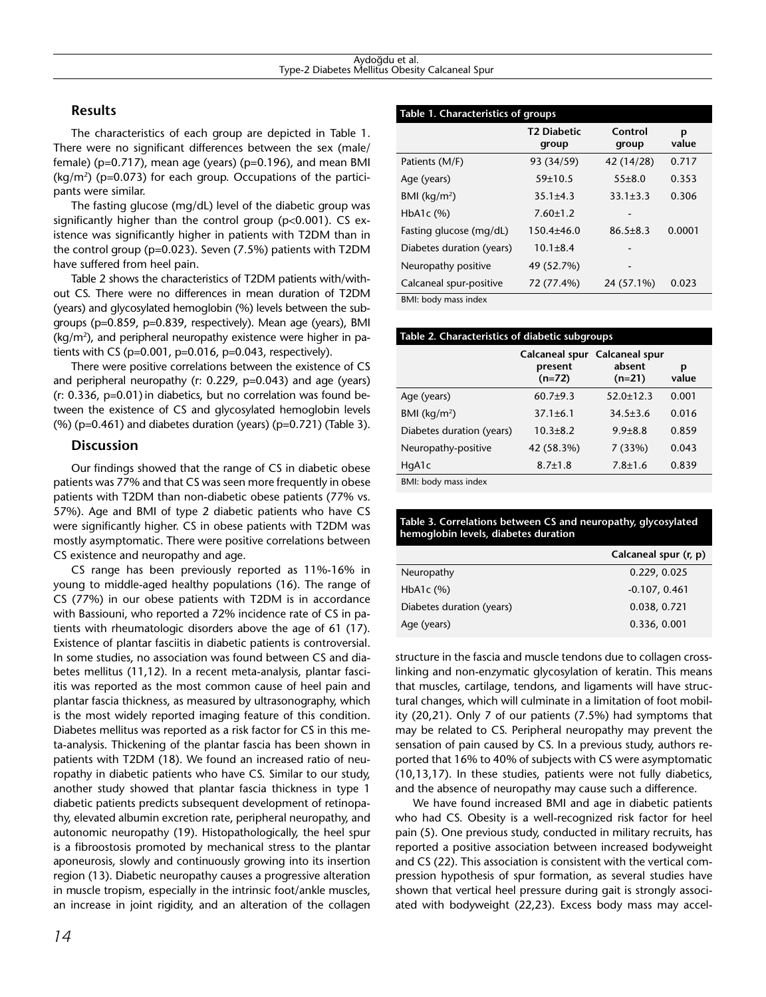## **Results**

The characteristics of each group are depicted in Table 1. There were no significant differences between the sex (male/ female) (p=0.717), mean age (years) (p=0.196), and mean BMI  $(kg/m<sup>2</sup>)$  (p=0.073) for each group. Occupations of the participants were similar.

The fasting glucose (mg/dL) level of the diabetic group was significantly higher than the control group ( $p<0.001$ ). CS existence was significantly higher in patients with T2DM than in the control group (p=0.023). Seven (7.5%) patients with T2DM have suffered from heel pain.

Table 2 shows the characteristics of T2DM patients with/without CS. There were no differences in mean duration of T2DM (years) and glycosylated hemoglobin (%) levels between the subgroups (p=0.859, p=0.839, respectively). Mean age (years), BMI (kg/m2 ), and peripheral neuropathy existence were higher in patients with CS ( $p=0.001$ ,  $p=0.016$ ,  $p=0.043$ , respectively).

There were positive correlations between the existence of CS and peripheral neuropathy (r: 0.229, p=0.043) and age (years) (r: 0.336, p=0.01) in diabetics, but no correlation was found between the existence of CS and glycosylated hemoglobin levels  $(%)$  (p=0.461) and diabetes duration (years) (p=0.721) (Table 3).

## **Discussion**

Our findings showed that the range of CS in diabetic obese patients was 77% and that CS was seen more frequently in obese patients with T2DM than non-diabetic obese patients (77% vs. 57%). Age and BMI of type 2 diabetic patients who have CS were significantly higher. CS in obese patients with T2DM was mostly asymptomatic. There were positive correlations between CS existence and neuropathy and age.

CS range has been previously reported as 11%-16% in young to middle-aged healthy populations (16). The range of CS (77%) in our obese patients with T2DM is in accordance with Bassiouni, who reported a 72% incidence rate of CS in patients with rheumatologic disorders above the age of 61 (17). Existence of plantar fasciitis in diabetic patients is controversial. In some studies, no association was found between CS and diabetes mellitus (11,12). In a recent meta-analysis, plantar fasciitis was reported as the most common cause of heel pain and plantar fascia thickness, as measured by ultrasonography, which is the most widely reported imaging feature of this condition. Diabetes mellitus was reported as a risk factor for CS in this meta-analysis. Thickening of the plantar fascia has been shown in patients with T2DM (18). We found an increased ratio of neuropathy in diabetic patients who have CS. Similar to our study, another study showed that plantar fascia thickness in type 1 diabetic patients predicts subsequent development of retinopathy, elevated albumin excretion rate, peripheral neuropathy, and autonomic neuropathy (19). Histopathologically, the heel spur is a fibroostosis promoted by mechanical stress to the plantar aponeurosis, slowly and continuously growing into its insertion region (13). Diabetic neuropathy causes a progressive alteration in muscle tropism, especially in the intrinsic foot/ankle muscles, an increase in joint rigidity, and an alteration of the collagen

| Table 1. Characteristics of groups |                             |                  |            |  |  |  |
|------------------------------------|-----------------------------|------------------|------------|--|--|--|
|                                    | <b>T2 Diabetic</b><br>group | Control<br>group | p<br>value |  |  |  |
| Patients (M/F)                     | 93 (34/59)                  | 42 (14/28)       | 0.717      |  |  |  |
| Age (years)                        | 59±10.5                     | $55\pm8.0$       | 0.353      |  |  |  |
| BMI ( $\text{kg/m}^2$ )            | $35.1 \pm 4.3$              | $33.1 \pm 3.3$   | 0.306      |  |  |  |
| HbA <sub>1</sub> c $(%)$           | $7.60 \pm 1.2$              |                  |            |  |  |  |
| Fasting glucose (mg/dL)            | $150.4 + 46.0$              | $86.5 \pm 8.3$   | 0.0001     |  |  |  |
| Diabetes duration (years)          | $10.1 \pm 8.4$              |                  |            |  |  |  |
| Neuropathy positive                | 49 (52.7%)                  |                  |            |  |  |  |
| Calcaneal spur-positive            | 72 (77.4%)                  | 24 (57.1%)       | 0.023      |  |  |  |
| DA 41. Is a shi mannoni a share    |                             |                  |            |  |  |  |

BMI: body mass index

| Table 2. Characteristics of diabetic subgroups |                     |                                                     |            |  |  |
|------------------------------------------------|---------------------|-----------------------------------------------------|------------|--|--|
|                                                | present<br>$(n=72)$ | Calcaneal spur Calcaneal spur<br>absent<br>$(n=21)$ | р<br>value |  |  |
| Age (years)                                    | $60.7 + 9.3$        | $52.0 + 12.3$                                       | 0.001      |  |  |
| BMI ( $\text{kg/m}^2$ )                        | $37.1 \pm 6.1$      | $34.5 \pm 3.6$                                      | 0.016      |  |  |
| Diabetes duration (years)                      | $10.3 + 8.2$        | $9.9 + 8.8$                                         | 0.859      |  |  |
| Neuropathy-positive                            | 42 (58.3%)          | 7(33%)                                              | 0.043      |  |  |
| HqA1c                                          | $8.7 \pm 1.8$       | $7.8 \pm 1.6$                                       | 0.839      |  |  |

BMI: body mass index

#### **Table 3. Correlations between CS and neuropathy, glycosylated hemoglobin levels, diabetes duration**

|                           | Calcaneal spur (r, p) |
|---------------------------|-----------------------|
| Neuropathy                | 0.229, 0.025          |
| HbA <sub>1</sub> c $(%)$  | $-0.107, 0.461$       |
| Diabetes duration (years) | 0.038, 0.721          |
| Age (years)               | 0.336, 0.001          |

structure in the fascia and muscle tendons due to collagen crosslinking and non-enzymatic glycosylation of keratin. This means that muscles, cartilage, tendons, and ligaments will have structural changes, which will culminate in a limitation of foot mobility (20,21). Only 7 of our patients (7.5%) had symptoms that may be related to CS. Peripheral neuropathy may prevent the sensation of pain caused by CS. In a previous study, authors reported that 16% to 40% of subjects with CS were asymptomatic (10,13,17). In these studies, patients were not fully diabetics, and the absence of neuropathy may cause such a difference.

We have found increased BMI and age in diabetic patients who had CS. Obesity is a well-recognized risk factor for heel pain (5). One previous study, conducted in military recruits, has reported a positive association between increased bodyweight and CS (22). This association is consistent with the vertical compression hypothesis of spur formation, as several studies have shown that vertical heel pressure during gait is strongly associated with bodyweight (22,23). Excess body mass may accel-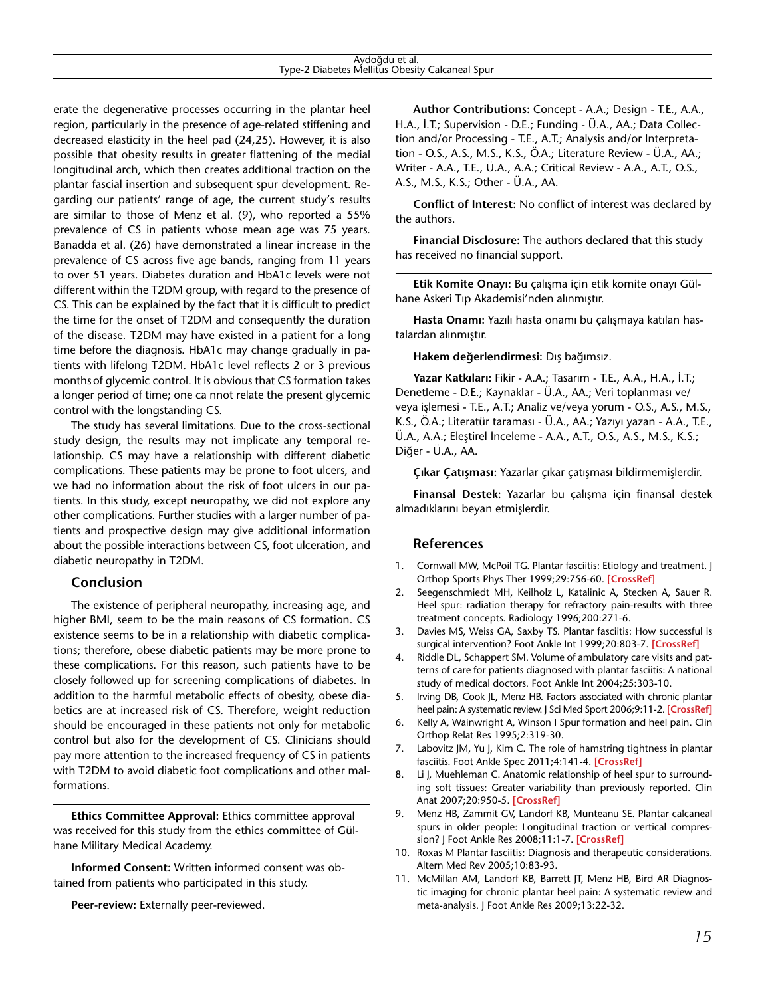| Aydoğdu et al.                                  |  |
|-------------------------------------------------|--|
| Type-2 Diabetes Mellitus Obesity Calcaneal Spur |  |

erate the degenerative processes occurring in the plantar heel region, particularly in the presence of age-related stiffening and decreased elasticity in the heel pad (24,25). However, it is also possible that obesity results in greater flattening of the medial longitudinal arch, which then creates additional traction on the plantar fascial insertion and subsequent spur development. Regarding our patients' range of age, the current study's results are similar to those of Menz et al. (9), who reported a 55% prevalence of CS in patients whose mean age was 75 years. Banadda et al. (26) have demonstrated a linear increase in the prevalence of CS across five age bands, ranging from 11 years to over 51 years. Diabetes duration and HbA1c levels were not different within the T2DM group, with regard to the presence of CS. This can be explained by the fact that it is difficult to predict the time for the onset of T2DM and consequently the duration of the disease. T2DM may have existed in a patient for a long time before the diagnosis. HbA1c may change gradually in patients with lifelong T2DM. HbA1c level reflects 2 or 3 previous monthsof glycemic control. It is obvious that CS formation takes a longer period of time; one ca nnot relate the present glycemic control with the longstanding CS.

The study has several limitations. Due to the cross-sectional study design, the results may not implicate any temporal relationship. CS may have a relationship with different diabetic complications. These patients may be prone to foot ulcers, and we had no information about the risk of foot ulcers in our patients. In this study, except neuropathy, we did not explore any other complications. Further studies with a larger number of patients and prospective design may give additional information about the possible interactions between CS, foot ulceration, and diabetic neuropathy in T2DM.

#### **Conclusion**

The existence of peripheral neuropathy, increasing age, and higher BMI, seem to be the main reasons of CS formation. CS existence seems to be in a relationship with diabetic complications; therefore, obese diabetic patients may be more prone to these complications. For this reason, such patients have to be closely followed up for screening complications of diabetes. In addition to the harmful metabolic effects of obesity, obese diabetics are at increased risk of CS. Therefore, weight reduction should be encouraged in these patients not only for metabolic control but also for the development of CS. Clinicians should pay more attention to the increased frequency of CS in patients with T2DM to avoid diabetic foot complications and other malformations.

**Ethics Committee Approval:** Ethics committee approval was received for this study from the ethics committee of Gülhane Military Medical Academy.

**Informed Consent:** Written informed consent was obtained from patients who participated in this study.

**Peer-review:** Externally peer-reviewed.

**Author Contributions:** Concept - A.A.; Design - T.E., A.A., H.A., İ.T.; Supervision - D.E.; Funding - Ü.A., AA.; Data Collection and/or Processing - T.E., A.T.; Analysis and/or Interpretation - O.S., A.S., M.S., K.S., Ö.A.; Literature Review - Ü.A., AA.; Writer - A.A., T.E., Ü.A., A.A.; Critical Review - A.A., A.T., O.S., A.S., M.S., K.S.; Other - Ü.A., AA.

**Conflict of Interest:** No conflict of interest was declared by the authors.

**Financial Disclosure:** The authors declared that this study has received no financial support.

**Etik Komite Onayı:** Bu çalışma için etik komite onayı Gülhane Askeri Tıp Akademisi'nden alınmıştır.

**Hasta Onamı:** Yazılı hasta onamı bu çalışmaya katılan hastalardan alınmıştır.

**Hakem değerlendirmesi:** Dış bağımsız.

**Yazar Katkıları:** Fikir - A.A.; Tasarım - T.E., A.A., H.A., İ.T.; Denetleme - D.E.; Kaynaklar - Ü.A., AA.; Veri toplanması ve/ veya işlemesi - T.E., A.T.; Analiz ve/veya yorum - O.S., A.S., M.S., K.S., Ö.A.; Literatür taraması - Ü.A., AA.; Yazıyı yazan - A.A., T.E., Ü.A., A.A.; Eleştirel İnceleme - A.A., A.T., O.S., A.S., M.S., K.S.; Diğer - Ü.A., AA.

**Çıkar Çatışması:** Yazarlar çıkar çatışması bildirmemişlerdir.

**Finansal Destek:** Yazarlar bu çalışma için finansal destek almadıklarını beyan etmişlerdir.

## **References**

- 1. Cornwall MW, McPoil TG. Plantar fasciitis: Etiology and treatment. J Orthop Sports Phys Ther [1999;29:756-60.](http://dx.doi.org/10.2519/jospt.1999.29.12.756) **[CrossRef]**
- 2. Seegenschmiedt MH, Keilholz L, Katalinic A, Stecken A, Sauer R. Heel spur: radiation therapy for refractory pain-results with three treatment concepts. Radiology 1996;200:271-6.
- 3. Davies MS, Weiss GA, Saxby TS. Plantar fasciitis: How successful is surgical intervention? Foot Ankle [Int 1999;20:803-7.](http://dx.doi.org/10.1177/107110079902001209) **[CrossRef]**
- Riddle DL, Schappert SM. Volume of ambulatory care visits and patterns of care for patients diagnosed with plantar fasciitis: A national study of medical doctors. Foot Ankle Int 2004;25:303-10.
- 5. Irving DB, Cook JL, Menz HB. Factors associated with chronic plantar heel pain: A systematic review. J Sci Med Sport [2006;9:11-2.](http://dx.doi.org/10.1016/j.jsams.2006.12.013) **[CrossRef]**
- 6. Kelly A, Wainwright A, Winson I Spur formation and heel pain. Clin Orthop Relat Res 1995;2:319-30.
- 7. Labovitz JM, Yu J, Kim C. The role of hamstring tightness in plantar fasciitis. Foot Ankle Spec [2011;4:141-4.](http://dx.doi.org/10.1177/1938640010397341) **[CrossRef]**
- 8. Li J, Muehleman C. Anatomic relationship of heel spur to surrounding soft tissues: Greater variability than previously reported. Clin [Anat 2007;20:950-5.](http://dx.doi.org/10.1002/ca.20548) **[CrossRef]**
- 9. Menz HB, Zammit GV, Landorf KB, Munteanu SE. Plantar calcaneal spurs in older people: Longitudinal traction or vertical compression? J Foot Ankle Res [2008;11:1-7.](http://dx.doi.org/10.1186/1757-1146-1-1) **[CrossRef]**
- 10. Roxas M Plantar fasciitis: Diagnosis and therapeutic considerations. Altern Med Rev 2005;10:83-93.
- 11. McMillan AM, Landorf KB, Barrett JT, Menz HB, Bird AR Diagnostic imaging for chronic plantar heel pain: A systematic review and meta-analysis. J Foot Ankle Res 2009;13:22-32.